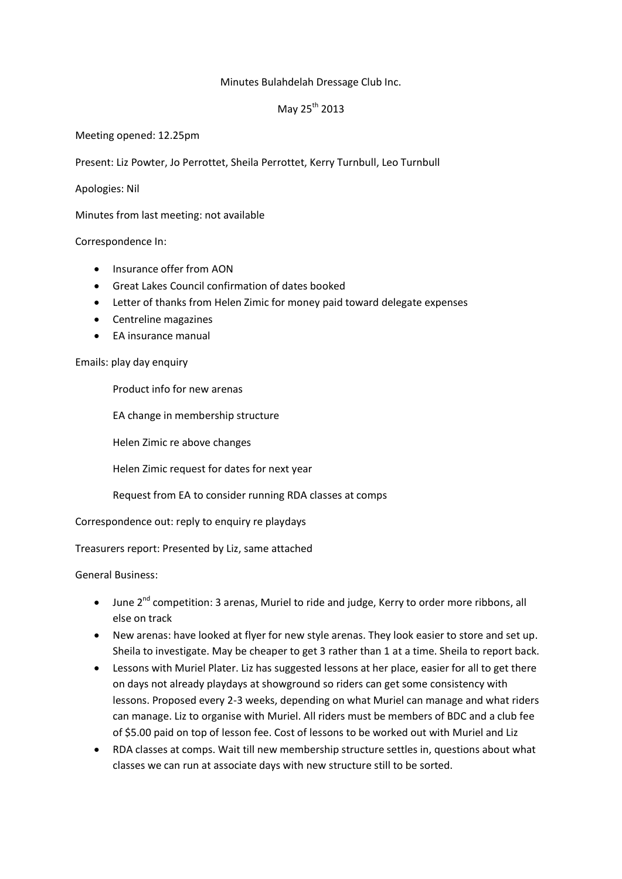## Minutes Bulahdelah Dressage Club Inc.

## May  $25^{th}$  2013

Meeting opened: 12.25pm

Present: Liz Powter, Jo Perrottet, Sheila Perrottet, Kerry Turnbull, Leo Turnbull

Apologies: Nil

Minutes from last meeting: not available

## Correspondence In:

- Insurance offer from AON
- Great Lakes Council confirmation of dates booked
- Letter of thanks from Helen Zimic for money paid toward delegate expenses
- Centreline magazines
- EA insurance manual

## Emails: play day enquiry

Product info for new arenas

EA change in membership structure

Helen Zimic re above changes

Helen Zimic request for dates for next year

Request from EA to consider running RDA classes at comps

Correspondence out: reply to enquiry re playdays

Treasurers report: Presented by Liz, same attached

General Business:

- June 2<sup>nd</sup> competition: 3 arenas, Muriel to ride and judge, Kerry to order more ribbons, all else on track
- New arenas: have looked at flyer for new style arenas. They look easier to store and set up. Sheila to investigate. May be cheaper to get 3 rather than 1 at a time. Sheila to report back.
- Lessons with Muriel Plater. Liz has suggested lessons at her place, easier for all to get there on days not already playdays at showground so riders can get some consistency with lessons. Proposed every 2-3 weeks, depending on what Muriel can manage and what riders can manage. Liz to organise with Muriel. All riders must be members of BDC and a club fee of \$5.00 paid on top of lesson fee. Cost of lessons to be worked out with Muriel and Liz
- RDA classes at comps. Wait till new membership structure settles in, questions about what classes we can run at associate days with new structure still to be sorted.